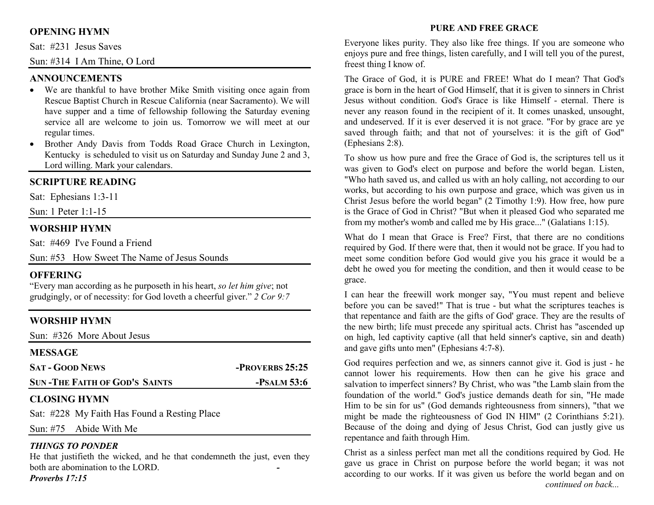## **OPENING HYMN**

Sat: #231 Jesus Saves

Sun: #314 I Am Thine, O Lord

#### **ANNOUNCEMENTS**

- We are thankful to have brother Mike Smith visiting once again from Rescue Baptist Church in Rescue California (near Sacramento). We will have supper and a time of fellowship following the Saturday evening service all are welcome to join us. Tomorrow we will meet at our regular times.
- Brother Andy Davis from Todds Road Grace Church in Lexington, Kentucky is scheduled to visit us on Saturday and Sunday June 2 and 3, Lord willing. Mark your calendars.

## **SCRIPTURE READING**

Sat: Ephesians 1:3-11

Sun: 1 Peter 1:1-15

## **WORSHIP HYMN**

Sat: #469 I've Found a Friend

Sun: #53 How Sweet The Name of Jesus Sounds

## **OFFERING**

 "Every man according as he purposeth in his heart, *so let him give*; not grudgingly, or of necessity: for God loveth a cheerful giver." *2 Cor 9:7*

## **WORSHIP HYMN**

Sun: #326 More About Jesus

| <b>MESSAGE</b>                       |                 |
|--------------------------------------|-----------------|
| <b>SAT - GOOD NEWS</b>               | -PROVERBS 25:25 |
| <b>SUN-THE FAITH OF GOD'S SAINTS</b> | $-$ PSALM 53:6  |

## **CLOSING HYMN**

Sat: #228 My Faith Has Found a Resting Place

Sun: #75 Abide With Me

#### *THINGS TO PONDER*

 He that justifieth the wicked, and he that condemneth the just, even they both are abomination to the LORD. *-*

*Proverbs 17:15* 

#### **PURE AND FREE GRACE**

Everyone likes purity. They also like free things. If you are someone who enjoys pure and free things, listen carefully, and I will tell you of the purest, freest thing I know of.

The Grace of God, it is PURE and FREE! What do I mean? That God's grace is born in the heart of God Himself, that it is given to sinners in Christ Jesus without condition. God's Grace is like Himself - eternal. There is never any reason found in the recipient of it. It comes unasked, unsought, and undeserved. If it is ever deserved it is not grace. "For by grace are ye saved through faith; and that not of yourselves: it is the gift of God" (Ephesians 2:8).

To show us how pure and free the Grace of God is, the scriptures tell us it was given to God's elect on purpose and before the world began. Listen, "Who hath saved us, and called us with an holy calling, not according to our works, but according to his own purpose and grace, which was given us in Christ Jesus before the world began" (2 Timothy 1:9). How free, how pure is the Grace of God in Christ? "But when it pleased God who separated me from my mother's womb and called me by His grace..." (Galatians 1:15).

What do I mean that Grace is Free? First, that there are no conditions required by God. If there were that, then it would not be grace. If you had to meet some condition before God would give you his grace it would be a debt he owed you for meeting the condition, and then it would cease to be grace.

I can hear the freewill work monger say, "You must repent and believe before you can be saved!" That is true - but what the scriptures teaches is that repentance and faith are the gifts of God' grace. They are the results of the new birth; life must precede any spiritual acts. Christ has "ascended up on high, led captivity captive (all that held sinner's captive, sin and death) and gave gifts unto men" (Ephesians 4:7-8).

God requires perfection and we, as sinners cannot give it. God is just - he cannot lower his requirements. How then can he give his grace and salvation to imperfect sinners? By Christ, who was "the Lamb slain from the foundation of the world." God's justice demands death for sin, "He made Him to be sin for us" (God demands righteousness from sinners), "that we might be made the righteousness of God IN HIM" (2 Corinthians 5:21). Because of the doing and dying of Jesus Christ, God can justly give us repentance and faith through Him.

Christ as a sinless perfect man met all the conditions required by God. He gave us grace in Christ on purpose before the world began; it was not according to our works. If it was given us before the world began and on *continued on back...*